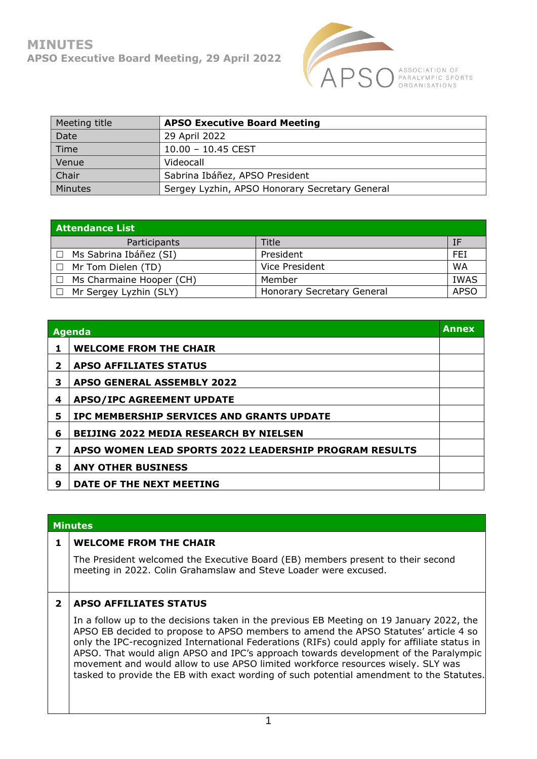

| Meeting title  | <b>APSO Executive Board Meeting</b>            |
|----------------|------------------------------------------------|
| Date           | 29 April 2022                                  |
| Time           | $10.00 - 10.45$ CEST                           |
| Venue          | Videocall                                      |
| Chair          | Sabrina Ibáñez, APSO President                 |
| <b>Minutes</b> | Sergey Lyzhin, APSO Honorary Secretary General |

| <b>Attendance List</b>    |                            |             |  |  |
|---------------------------|----------------------------|-------------|--|--|
| Participants              | Title                      | ΙF          |  |  |
| Ms Sabrina Ibáñez (SI)    | President                  | FEI         |  |  |
| $\Box$ Mr Tom Dielen (TD) | Vice President             | <b>WA</b>   |  |  |
| Ms Charmaine Hooper (CH)  | Member                     | <b>IWAS</b> |  |  |
| Mr Sergey Lyzhin (SLY)    | Honorary Secretary General | <b>APSO</b> |  |  |

| Agenda                  |                                                        | <b>Annex</b> |
|-------------------------|--------------------------------------------------------|--------------|
| 1                       | <b>WELCOME FROM THE CHAIR</b>                          |              |
| $\overline{\mathbf{2}}$ | <b>APSO AFFILIATES STATUS</b>                          |              |
| 3                       | <b>APSO GENERAL ASSEMBLY 2022</b>                      |              |
| 4                       | <b>APSO/IPC AGREEMENT UPDATE</b>                       |              |
| 5                       | IPC MEMBERSHIP SERVICES AND GRANTS UPDATE              |              |
| 6                       | <b>BEIJING 2022 MEDIA RESEARCH BY NIELSEN</b>          |              |
| 7                       | APSO WOMEN LEAD SPORTS 2022 LEADERSHIP PROGRAM RESULTS |              |
| 8                       | <b>ANY OTHER BUSINESS</b>                              |              |
| 9                       | DATE OF THE NEXT MEETING                               |              |

|   | <b>Minutes</b>                                                                                                                                                                                                                                                                                                                                                                                                                                                                                                                                          |  |  |
|---|---------------------------------------------------------------------------------------------------------------------------------------------------------------------------------------------------------------------------------------------------------------------------------------------------------------------------------------------------------------------------------------------------------------------------------------------------------------------------------------------------------------------------------------------------------|--|--|
|   | <b>WELCOME FROM THE CHAIR</b>                                                                                                                                                                                                                                                                                                                                                                                                                                                                                                                           |  |  |
|   | The President welcomed the Executive Board (EB) members present to their second<br>meeting in 2022. Colin Grahamslaw and Steve Loader were excused.                                                                                                                                                                                                                                                                                                                                                                                                     |  |  |
| 2 | <b>APSO AFFILIATES STATUS</b>                                                                                                                                                                                                                                                                                                                                                                                                                                                                                                                           |  |  |
|   | In a follow up to the decisions taken in the previous EB Meeting on 19 January 2022, the<br>APSO EB decided to propose to APSO members to amend the APSO Statutes' article 4 so<br>only the IPC-recognized International Federations (RIFs) could apply for affiliate status in<br>APSO. That would align APSO and IPC's approach towards development of the Paralympic<br>movement and would allow to use APSO limited workforce resources wisely. SLY was<br>tasked to provide the EB with exact wording of such potential amendment to the Statutes. |  |  |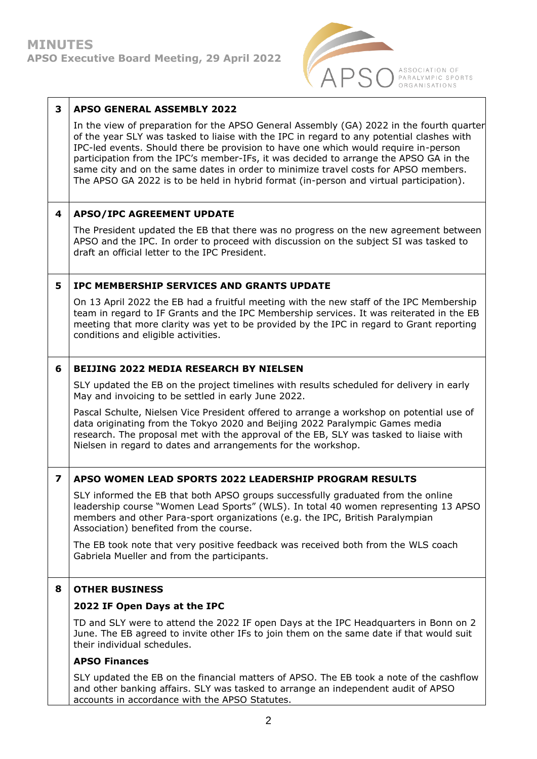

| 3                       | <b>APSO GENERAL ASSEMBLY 2022</b>                                                                                                                                                                                                                                                                                                                                                                                                                                                                                                                      |
|-------------------------|--------------------------------------------------------------------------------------------------------------------------------------------------------------------------------------------------------------------------------------------------------------------------------------------------------------------------------------------------------------------------------------------------------------------------------------------------------------------------------------------------------------------------------------------------------|
|                         | In the view of preparation for the APSO General Assembly (GA) 2022 in the fourth quarter<br>of the year SLY was tasked to liaise with the IPC in regard to any potential clashes with<br>IPC-led events. Should there be provision to have one which would require in-person<br>participation from the IPC's member-IFs, it was decided to arrange the APSO GA in the<br>same city and on the same dates in order to minimize travel costs for APSO members.<br>The APSO GA 2022 is to be held in hybrid format (in-person and virtual participation). |
| 4                       | <b>APSO/IPC AGREEMENT UPDATE</b>                                                                                                                                                                                                                                                                                                                                                                                                                                                                                                                       |
|                         | The President updated the EB that there was no progress on the new agreement between<br>APSO and the IPC. In order to proceed with discussion on the subject SI was tasked to<br>draft an official letter to the IPC President.                                                                                                                                                                                                                                                                                                                        |
| 5                       | IPC MEMBERSHIP SERVICES AND GRANTS UPDATE                                                                                                                                                                                                                                                                                                                                                                                                                                                                                                              |
|                         | On 13 April 2022 the EB had a fruitful meeting with the new staff of the IPC Membership<br>team in regard to IF Grants and the IPC Membership services. It was reiterated in the EB<br>meeting that more clarity was yet to be provided by the IPC in regard to Grant reporting<br>conditions and eligible activities.                                                                                                                                                                                                                                 |
| 6                       | <b>BEIJING 2022 MEDIA RESEARCH BY NIELSEN</b>                                                                                                                                                                                                                                                                                                                                                                                                                                                                                                          |
|                         | SLY updated the EB on the project timelines with results scheduled for delivery in early<br>May and invoicing to be settled in early June 2022.                                                                                                                                                                                                                                                                                                                                                                                                        |
|                         | Pascal Schulte, Nielsen Vice President offered to arrange a workshop on potential use of<br>data originating from the Tokyo 2020 and Beijing 2022 Paralympic Games media<br>research. The proposal met with the approval of the EB, SLY was tasked to liaise with<br>Nielsen in regard to dates and arrangements for the workshop.                                                                                                                                                                                                                     |
| $\overline{\mathbf{z}}$ | APSO WOMEN LEAD SPORTS 2022 LEADERSHIP PROGRAM RESULTS                                                                                                                                                                                                                                                                                                                                                                                                                                                                                                 |
|                         | SLY informed the EB that both APSO groups successfully graduated from the online<br>leadership course "Women Lead Sports" (WLS). In total 40 women representing 13 APSO<br>members and other Para-sport organizations (e.g. the IPC, British Paralympian<br>Association) benefited from the course.                                                                                                                                                                                                                                                    |
|                         | The EB took note that very positive feedback was received both from the WLS coach<br>Gabriela Mueller and from the participants.                                                                                                                                                                                                                                                                                                                                                                                                                       |
| 8                       | <b>OTHER BUSINESS</b>                                                                                                                                                                                                                                                                                                                                                                                                                                                                                                                                  |
|                         | 2022 IF Open Days at the IPC                                                                                                                                                                                                                                                                                                                                                                                                                                                                                                                           |
|                         | TD and SLY were to attend the 2022 IF open Days at the IPC Headquarters in Bonn on 2<br>June. The EB agreed to invite other IFs to join them on the same date if that would suit<br>their individual schedules.                                                                                                                                                                                                                                                                                                                                        |
|                         | <b>APSO Finances</b>                                                                                                                                                                                                                                                                                                                                                                                                                                                                                                                                   |
|                         | SLY updated the EB on the financial matters of APSO. The EB took a note of the cashflow<br>and other banking affairs. SLY was tasked to arrange an independent audit of APSO<br>accounts in accordance with the APSO Statutes.                                                                                                                                                                                                                                                                                                                         |